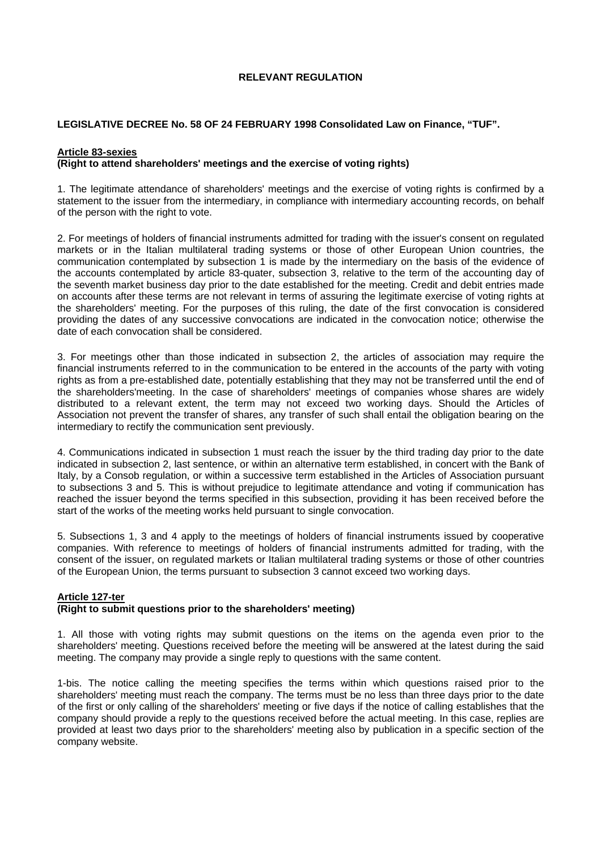#### **RELEVANT REGULATION**

#### **LEGISLATIVE DECREE No. 58 OF 24 FEBRUARY 1998 Consolidated Law on Finance, "TUF".**

#### **Article 83-sexies (Right to attend shareholders' meetings and the exercise of voting rights)**

1. The legitimate attendance of shareholders' meetings and the exercise of voting rights is confirmed by a statement to the issuer from the intermediary, in compliance with intermediary accounting records, on behalf of the person with the right to vote.

2. For meetings of holders of financial instruments admitted for trading with the issuer's consent on regulated markets or in the Italian multilateral trading systems or those of other European Union countries, the communication contemplated by subsection 1 is made by the intermediary on the basis of the evidence of the accounts contemplated by article 83-quater, subsection 3, relative to the term of the accounting day of the seventh market business day prior to the date established for the meeting. Credit and debit entries made on accounts after these terms are not relevant in terms of assuring the legitimate exercise of voting rights at the shareholders' meeting. For the purposes of this ruling, the date of the first convocation is considered providing the dates of any successive convocations are indicated in the convocation notice; otherwise the date of each convocation shall be considered.

3. For meetings other than those indicated in subsection 2, the articles of association may require the financial instruments referred to in the communication to be entered in the accounts of the party with voting rights as from a pre-established date, potentially establishing that they may not be transferred until the end of the shareholders'meeting. In the case of shareholders' meetings of companies whose shares are widely distributed to a relevant extent, the term may not exceed two working days. Should the Articles of Association not prevent the transfer of shares, any transfer of such shall entail the obligation bearing on the intermediary to rectify the communication sent previously.

4. Communications indicated in subsection 1 must reach the issuer by the third trading day prior to the date indicated in subsection 2, last sentence, or within an alternative term established, in concert with the Bank of Italy, by a Consob regulation, or within a successive term established in the Articles of Association pursuant to subsections 3 and 5. This is without prejudice to legitimate attendance and voting if communication has reached the issuer beyond the terms specified in this subsection, providing it has been received before the start of the works of the meeting works held pursuant to single convocation.

5. Subsections 1, 3 and 4 apply to the meetings of holders of financial instruments issued by cooperative companies. With reference to meetings of holders of financial instruments admitted for trading, with the consent of the issuer, on regulated markets or Italian multilateral trading systems or those of other countries of the European Union, the terms pursuant to subsection 3 cannot exceed two working days.

### **Article 127-ter**

### **(Right to submit questions prior to the shareholders' meeting)**

1. All those with voting rights may submit questions on the items on the agenda even prior to the shareholders' meeting. Questions received before the meeting will be answered at the latest during the said meeting. The company may provide a single reply to questions with the same content.

1-bis. The notice calling the meeting specifies the terms within which questions raised prior to the shareholders' meeting must reach the company. The terms must be no less than three days prior to the date of the first or only calling of the shareholders' meeting or five days if the notice of calling establishes that the company should provide a reply to the questions received before the actual meeting. In this case, replies are provided at least two days prior to the shareholders' meeting also by publication in a specific section of the company website.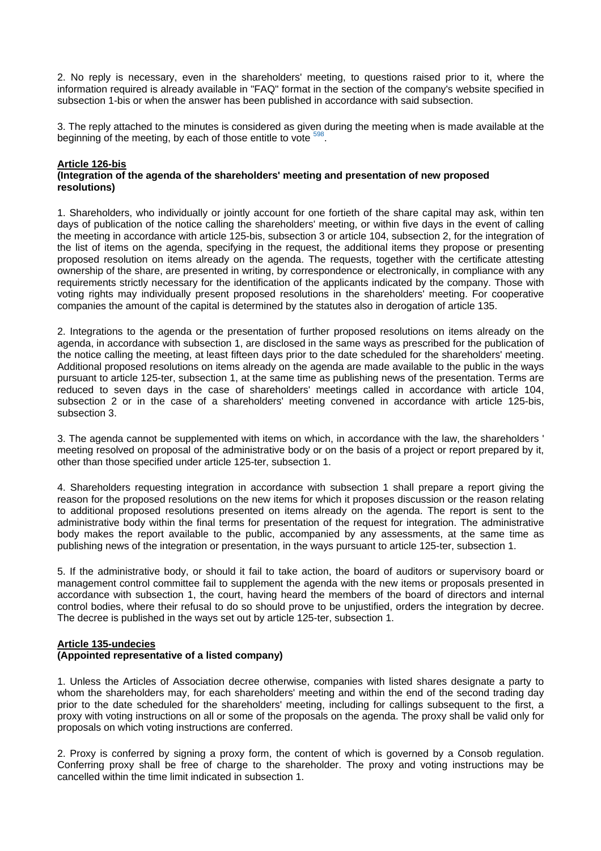2. No reply is necessary, even in the shareholders' meeting, to questions raised prior to it, where the information required is already available in "FAQ" format in the section of the company's website specified in subsection 1-bis or when the answer has been published in accordance with said subsection.

3. The reply attached to the minutes is considered as given during the meeting when is made available at the beginning of the meeting, by each of those entitle to vote <sup>598</sup>.

#### **Article 126-bis**

#### **(Integration of the agenda of the shareholders' meeting and presentation of new proposed resolutions)**

1. Shareholders, who individually or jointly account for one fortieth of the share capital may ask, within ten days of publication of the notice calling the shareholders' meeting, or within five days in the event of calling the meeting in accordance with article 125-bis, subsection 3 or article 104, subsection 2, for the integration of the list of items on the agenda, specifying in the request, the additional items they propose or presenting proposed resolution on items already on the agenda. The requests, together with the certificate attesting ownership of the share, are presented in writing, by correspondence or electronically, in compliance with any requirements strictly necessary for the identification of the applicants indicated by the company. Those with voting rights may individually present proposed resolutions in the shareholders' meeting. For cooperative companies the amount of the capital is determined by the statutes also in derogation of article 135.

2. Integrations to the agenda or the presentation of further proposed resolutions on items already on the agenda, in accordance with subsection 1, are disclosed in the same ways as prescribed for the publication of the notice calling the meeting, at least fifteen days prior to the date scheduled for the shareholders' meeting. Additional proposed resolutions on items already on the agenda are made available to the public in the ways pursuant to article 125-ter, subsection 1, at the same time as publishing news of the presentation. Terms are reduced to seven days in the case of shareholders' meetings called in accordance with article 104, subsection 2 or in the case of a shareholders' meeting convened in accordance with article 125-bis, subsection 3.

3. The agenda cannot be supplemented with items on which, in accordance with the law, the shareholders ' meeting resolved on proposal of the administrative body or on the basis of a project or report prepared by it, other than those specified under article 125-ter, subsection 1.

4. Shareholders requesting integration in accordance with subsection 1 shall prepare a report giving the reason for the proposed resolutions on the new items for which it proposes discussion or the reason relating to additional proposed resolutions presented on items already on the agenda. The report is sent to the administrative body within the final terms for presentation of the request for integration. The administrative body makes the report available to the public, accompanied by any assessments, at the same time as publishing news of the integration or presentation, in the ways pursuant to article 125-ter, subsection 1.

5. If the administrative body, or should it fail to take action, the board of auditors or supervisory board or management control committee fail to supplement the agenda with the new items or proposals presented in accordance with subsection 1, the court, having heard the members of the board of directors and internal control bodies, where their refusal to do so should prove to be unjustified, orders the integration by decree. The decree is published in the ways set out by article 125-ter, subsection 1.

### **Article 135-undecies**

### **(Appointed representative of a listed company)**

1. Unless the Articles of Association decree otherwise, companies with listed shares designate a party to whom the shareholders may, for each shareholders' meeting and within the end of the second trading day prior to the date scheduled for the shareholders' meeting, including for callings subsequent to the first, a proxy with voting instructions on all or some of the proposals on the agenda. The proxy shall be valid only for proposals on which voting instructions are conferred.

2. Proxy is conferred by signing a proxy form, the content of which is governed by a Consob regulation. Conferring proxy shall be free of charge to the shareholder. The proxy and voting instructions may be cancelled within the time limit indicated in subsection 1.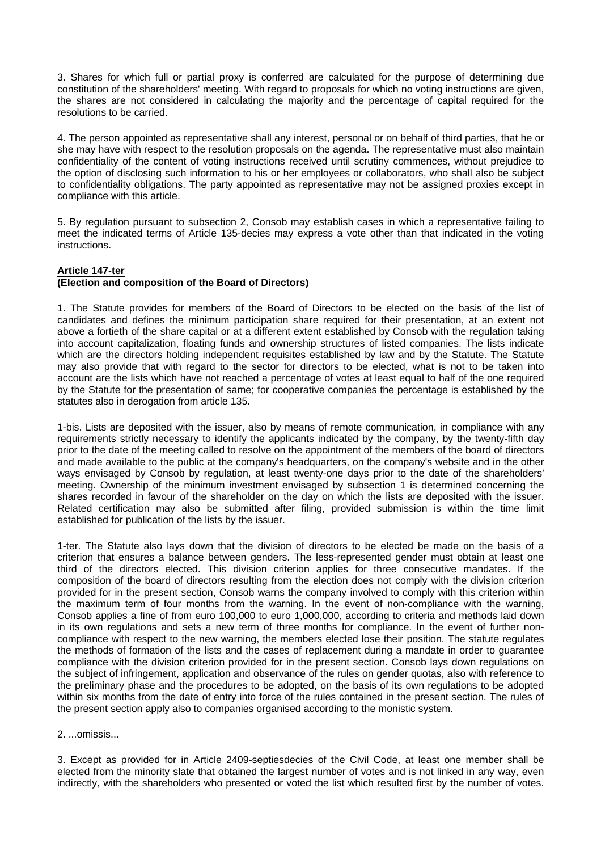3. Shares for which full or partial proxy is conferred are calculated for the purpose of determining due constitution of the shareholders' meeting. With regard to proposals for which no voting instructions are given, the shares are not considered in calculating the majority and the percentage of capital required for the resolutions to be carried.

4. The person appointed as representative shall any interest, personal or on behalf of third parties, that he or she may have with respect to the resolution proposals on the agenda. The representative must also maintain confidentiality of the content of voting instructions received until scrutiny commences, without prejudice to the option of disclosing such information to his or her employees or collaborators, who shall also be subject to confidentiality obligations. The party appointed as representative may not be assigned proxies except in compliance with this article.

5. By regulation pursuant to subsection 2, Consob may establish cases in which a representative failing to meet the indicated terms of Article 135-decies may express a vote other than that indicated in the voting instructions.

#### **Article 147-ter**

#### **(Election and composition of the Board of Directors)**

1. The Statute provides for members of the Board of Directors to be elected on the basis of the list of candidates and defines the minimum participation share required for their presentation, at an extent not above a fortieth of the share capital or at a different extent established by Consob with the regulation taking into account capitalization, floating funds and ownership structures of listed companies. The lists indicate which are the directors holding independent requisites established by law and by the Statute. The Statute may also provide that with regard to the sector for directors to be elected, what is not to be taken into account are the lists which have not reached a percentage of votes at least equal to half of the one required by the Statute for the presentation of same; for cooperative companies the percentage is established by the statutes also in derogation from article 135.

1-bis. Lists are deposited with the issuer, also by means of remote communication, in compliance with any requirements strictly necessary to identify the applicants indicated by the company, by the twenty-fifth day prior to the date of the meeting called to resolve on the appointment of the members of the board of directors and made available to the public at the company's headquarters, on the company's website and in the other ways envisaged by Consob by regulation, at least twenty-one days prior to the date of the shareholders' meeting. Ownership of the minimum investment envisaged by subsection 1 is determined concerning the shares recorded in favour of the shareholder on the day on which the lists are deposited with the issuer. Related certification may also be submitted after filing, provided submission is within the time limit established for publication of the lists by the issuer.

1-ter. The Statute also lays down that the division of directors to be elected be made on the basis of a criterion that ensures a balance between genders. The less-represented gender must obtain at least one third of the directors elected. This division criterion applies for three consecutive mandates. If the composition of the board of directors resulting from the election does not comply with the division criterion provided for in the present section, Consob warns the company involved to comply with this criterion within the maximum term of four months from the warning. In the event of non-compliance with the warning, Consob applies a fine of from euro 100,000 to euro 1,000,000, according to criteria and methods laid down in its own regulations and sets a new term of three months for compliance. In the event of further noncompliance with respect to the new warning, the members elected lose their position. The statute regulates the methods of formation of the lists and the cases of replacement during a mandate in order to guarantee compliance with the division criterion provided for in the present section. Consob lays down regulations on the subject of infringement, application and observance of the rules on gender quotas, also with reference to the preliminary phase and the procedures to be adopted, on the basis of its own regulations to be adopted within six months from the date of entry into force of the rules contained in the present section. The rules of the present section apply also to companies organised according to the monistic system.

2. ...omissis...

3. Except as provided for in Article 2409-septiesdecies of the Civil Code, at least one member shall be elected from the minority slate that obtained the largest number of votes and is not linked in any way, even indirectly, with the shareholders who presented or voted the list which resulted first by the number of votes.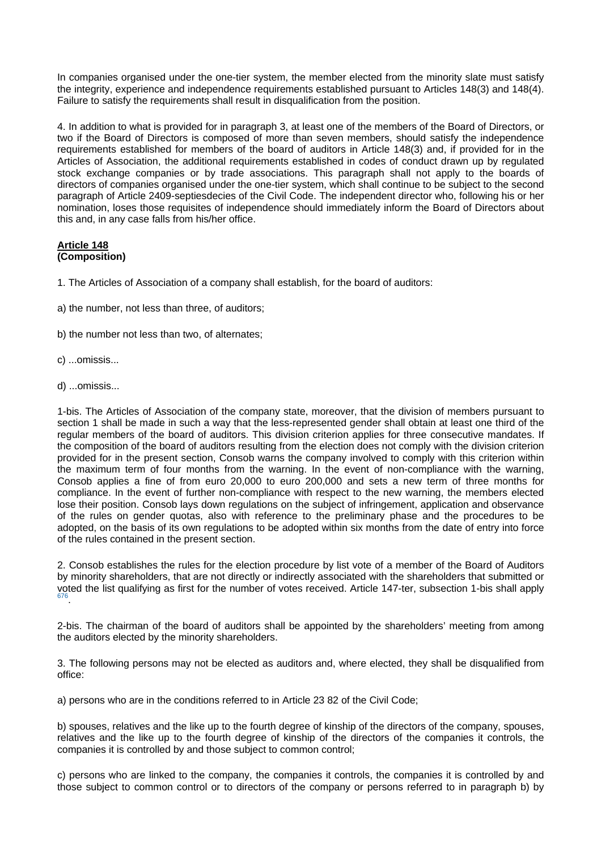In companies organised under the one-tier system, the member elected from the minority slate must satisfy the integrity, experience and independence requirements established pursuant to Articles 148(3) and 148(4). Failure to satisfy the requirements shall result in disqualification from the position.

4. In addition to what is provided for in paragraph 3, at least one of the members of the Board of Directors, or two if the Board of Directors is composed of more than seven members, should satisfy the independence requirements established for members of the board of auditors in Article 148(3) and, if provided for in the Articles of Association, the additional requirements established in codes of conduct drawn up by regulated stock exchange companies or by trade associations. This paragraph shall not apply to the boards of directors of companies organised under the one-tier system, which shall continue to be subject to the second paragraph of Article 2409-septiesdecies of the Civil Code. The independent director who, following his or her nomination, loses those requisites of independence should immediately inform the Board of Directors about this and, in any case falls from his/her office.

#### **Article 148 (Composition)**

- 1. The Articles of Association of a company shall establish, for the board of auditors:
- a) the number, not less than three, of auditors;
- b) the number not less than two, of alternates;
- c) ...omissis...
- d) ...omissis...

1-bis. The Articles of Association of the company state, moreover, that the division of members pursuant to section 1 shall be made in such a way that the less-represented gender shall obtain at least one third of the regular members of the board of auditors. This division criterion applies for three consecutive mandates. If the composition of the board of auditors resulting from the election does not comply with the division criterion provided for in the present section, Consob warns the company involved to comply with this criterion within the maximum term of four months from the warning. In the event of non-compliance with the warning, Consob applies a fine of from euro 20,000 to euro 200,000 and sets a new term of three months for compliance. In the event of further non-compliance with respect to the new warning, the members elected lose their position. Consob lays down regulations on the subject of infringement, application and observance of the rules on gender quotas, also with reference to the preliminary phase and the procedures to be adopted, on the basis of its own regulations to be adopted within six months from the date of entry into force of the rules contained in the present section.

2. Consob establishes the rules for the election procedure by list vote of a member of the Board of Auditors by minority shareholders, that are not directly or indirectly associated with the shareholders that submitted or voted the list qualifying as first for the number of votes received. Article 147-ter, subsection 1-bis shall apply  $676$ .

2-bis. The chairman of the board of auditors shall be appointed by the shareholders' meeting from among the auditors elected by the minority shareholders.

3. The following persons may not be elected as auditors and, where elected, they shall be disqualified from office:

a) persons who are in the conditions referred to in Article 23 82 of the Civil Code;

b) spouses, relatives and the like up to the fourth degree of kinship of the directors of the company, spouses, relatives and the like up to the fourth degree of kinship of the directors of the companies it controls, the companies it is controlled by and those subject to common control;

c) persons who are linked to the company, the companies it controls, the companies it is controlled by and those subject to common control or to directors of the company or persons referred to in paragraph b) by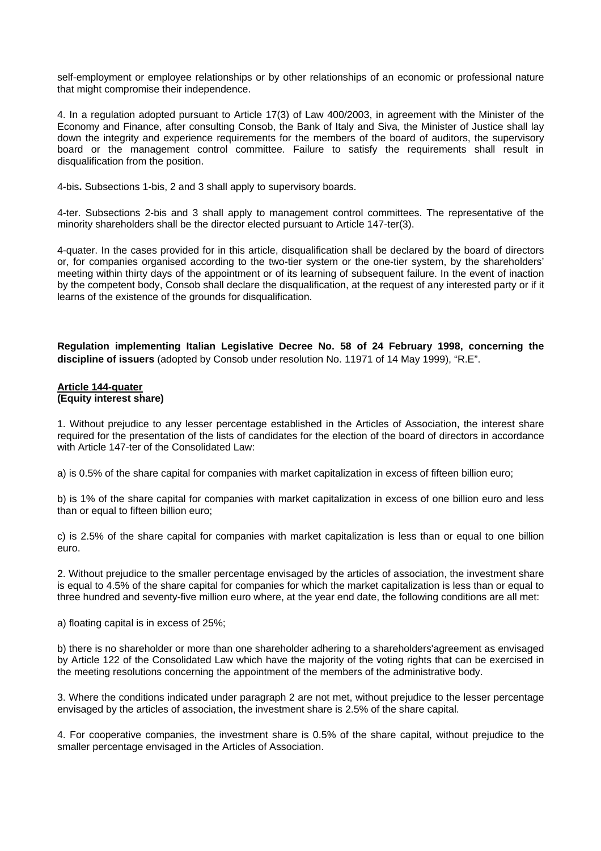self-employment or employee relationships or by other relationships of an economic or professional nature that might compromise their independence.

4. In a regulation adopted pursuant to Article 17(3) of Law 400/2003, in agreement with the Minister of the Economy and Finance, after consulting Consob, the Bank of Italy and Siva, the Minister of Justice shall lay down the integrity and experience requirements for the members of the board of auditors, the supervisory board or the management control committee. Failure to satisfy the requirements shall result in disqualification from the position.

4-bis**.** Subsections 1-bis, 2 and 3 shall apply to supervisory boards.

4-ter. Subsections 2-bis and 3 shall apply to management control committees. The representative of the minority shareholders shall be the director elected pursuant to Article 147-ter(3).

4-quater. In the cases provided for in this article, disqualification shall be declared by the board of directors or, for companies organised according to the two-tier system or the one-tier system, by the shareholders' meeting within thirty days of the appointment or of its learning of subsequent failure. In the event of inaction by the competent body, Consob shall declare the disqualification, at the request of any interested party or if it learns of the existence of the grounds for disqualification.

**Regulation implementing Italian Legislative Decree No. 58 of 24 February 1998, concerning the discipline of issuers** (adopted by Consob under resolution No. 11971 of 14 May 1999), "R.E".

#### **Article 144-quater (Equity interest share)**

1. Without prejudice to any lesser percentage established in the Articles of Association, the interest share required for the presentation of the lists of candidates for the election of the board of directors in accordance with Article 147-ter of the Consolidated Law:

a) is 0.5% of the share capital for companies with market capitalization in excess of fifteen billion euro;

b) is 1% of the share capital for companies with market capitalization in excess of one billion euro and less than or equal to fifteen billion euro;

c) is 2.5% of the share capital for companies with market capitalization is less than or equal to one billion euro.

2. Without prejudice to the smaller percentage envisaged by the articles of association, the investment share is equal to 4.5% of the share capital for companies for which the market capitalization is less than or equal to three hundred and seventy-five million euro where, at the year end date, the following conditions are all met:

a) floating capital is in excess of 25%;

b) there is no shareholder or more than one shareholder adhering to a shareholders'agreement as envisaged by Article 122 of the Consolidated Law which have the majority of the voting rights that can be exercised in the meeting resolutions concerning the appointment of the members of the administrative body.

3. Where the conditions indicated under paragraph 2 are not met, without prejudice to the lesser percentage envisaged by the articles of association, the investment share is 2.5% of the share capital.

4. For cooperative companies, the investment share is 0.5% of the share capital, without prejudice to the smaller percentage envisaged in the Articles of Association.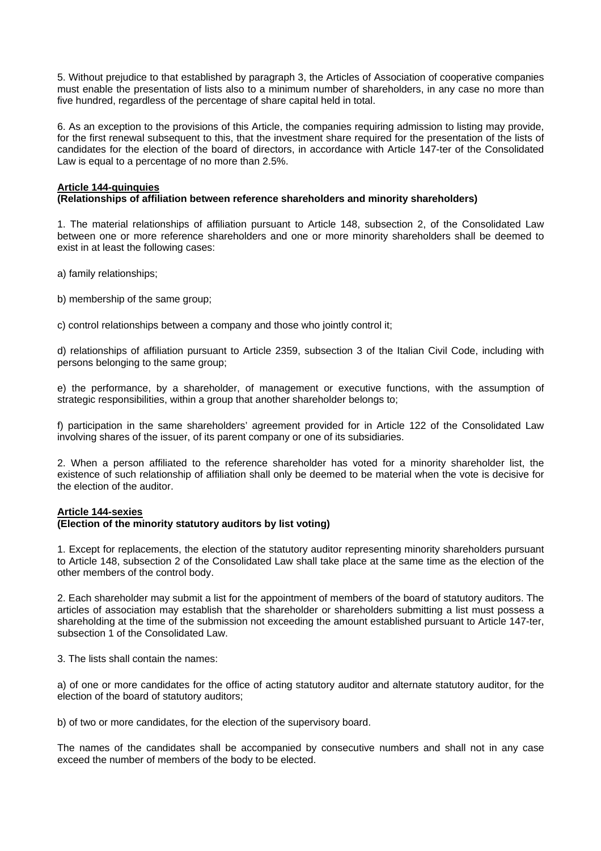5. Without prejudice to that established by paragraph 3, the Articles of Association of cooperative companies must enable the presentation of lists also to a minimum number of shareholders, in any case no more than five hundred, regardless of the percentage of share capital held in total.

6. As an exception to the provisions of this Article, the companies requiring admission to listing may provide, for the first renewal subsequent to this, that the investment share required for the presentation of the lists of candidates for the election of the board of directors, in accordance with Article 147-ter of the Consolidated Law is equal to a percentage of no more than 2.5%.

#### **Article 144-quinquies**

#### **(Relationships of affiliation between reference shareholders and minority shareholders)**

1. The material relationships of affiliation pursuant to Article 148, subsection 2, of the Consolidated Law between one or more reference shareholders and one or more minority shareholders shall be deemed to exist in at least the following cases:

a) family relationships;

b) membership of the same group;

c) control relationships between a company and those who jointly control it;

d) relationships of affiliation pursuant to Article 2359, subsection 3 of the Italian Civil Code, including with persons belonging to the same group;

e) the performance, by a shareholder, of management or executive functions, with the assumption of strategic responsibilities, within a group that another shareholder belongs to;

f) participation in the same shareholders' agreement provided for in Article 122 of the Consolidated Law involving shares of the issuer, of its parent company or one of its subsidiaries.

2. When a person affiliated to the reference shareholder has voted for a minority shareholder list, the existence of such relationship of affiliation shall only be deemed to be material when the vote is decisive for the election of the auditor.

### **Article 144-sexies**

### **(Election of the minority statutory auditors by list voting)**

1. Except for replacements, the election of the statutory auditor representing minority shareholders pursuant to Article 148, subsection 2 of the Consolidated Law shall take place at the same time as the election of the other members of the control body.

2. Each shareholder may submit a list for the appointment of members of the board of statutory auditors. The articles of association may establish that the shareholder or shareholders submitting a list must possess a shareholding at the time of the submission not exceeding the amount established pursuant to Article 147-ter, subsection 1 of the Consolidated Law.

3. The lists shall contain the names:

a) of one or more candidates for the office of acting statutory auditor and alternate statutory auditor, for the election of the board of statutory auditors;

b) of two or more candidates, for the election of the supervisory board.

The names of the candidates shall be accompanied by consecutive numbers and shall not in any case exceed the number of members of the body to be elected.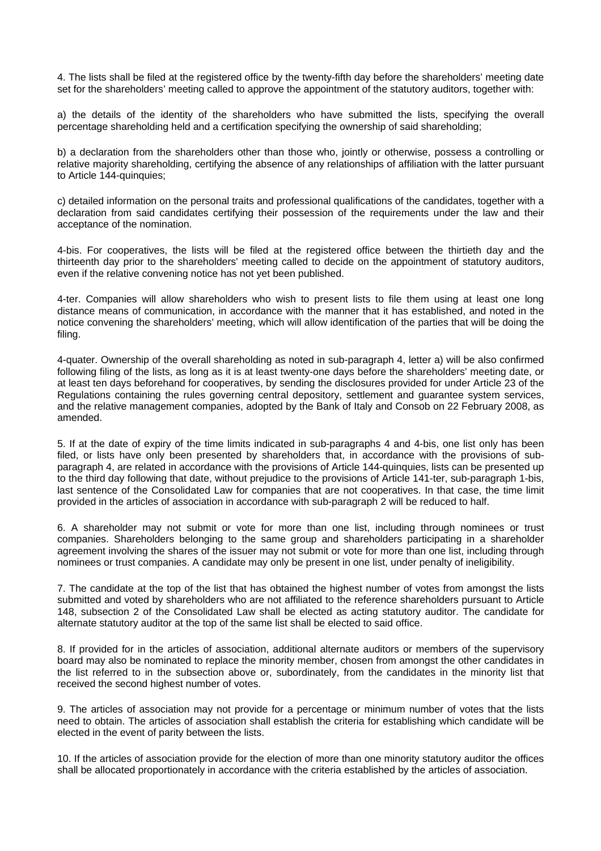4. The lists shall be filed at the registered office by the twenty-fifth day before the shareholders' meeting date set for the shareholders' meeting called to approve the appointment of the statutory auditors, together with:

a) the details of the identity of the shareholders who have submitted the lists, specifying the overall percentage shareholding held and a certification specifying the ownership of said shareholding;

b) a declaration from the shareholders other than those who, jointly or otherwise, possess a controlling or relative majority shareholding, certifying the absence of any relationships of affiliation with the latter pursuant to Article 144-quinquies;

c) detailed information on the personal traits and professional qualifications of the candidates, together with a declaration from said candidates certifying their possession of the requirements under the law and their acceptance of the nomination.

4-bis. For cooperatives, the lists will be filed at the registered office between the thirtieth day and the thirteenth day prior to the shareholders' meeting called to decide on the appointment of statutory auditors, even if the relative convening notice has not yet been published.

4-ter. Companies will allow shareholders who wish to present lists to file them using at least one long distance means of communication, in accordance with the manner that it has established, and noted in the notice convening the shareholders' meeting, which will allow identification of the parties that will be doing the filing.

4-quater. Ownership of the overall shareholding as noted in sub-paragraph 4, letter a) will be also confirmed following filing of the lists, as long as it is at least twenty-one days before the shareholders' meeting date, or at least ten days beforehand for cooperatives, by sending the disclosures provided for under Article 23 of the Regulations containing the rules governing central depository, settlement and guarantee system services, and the relative management companies, adopted by the Bank of Italy and Consob on 22 February 2008, as amended.

5. If at the date of expiry of the time limits indicated in sub-paragraphs 4 and 4-bis, one list only has been filed, or lists have only been presented by shareholders that, in accordance with the provisions of subparagraph 4, are related in accordance with the provisions of Article 144-quinquies, lists can be presented up to the third day following that date, without prejudice to the provisions of Article 141-ter, sub-paragraph 1-bis, last sentence of the Consolidated Law for companies that are not cooperatives. In that case, the time limit provided in the articles of association in accordance with sub-paragraph 2 will be reduced to half.

6. A shareholder may not submit or vote for more than one list, including through nominees or trust companies. Shareholders belonging to the same group and shareholders participating in a shareholder agreement involving the shares of the issuer may not submit or vote for more than one list, including through nominees or trust companies. A candidate may only be present in one list, under penalty of ineligibility.

7. The candidate at the top of the list that has obtained the highest number of votes from amongst the lists submitted and voted by shareholders who are not affiliated to the reference shareholders pursuant to Article 148, subsection 2 of the Consolidated Law shall be elected as acting statutory auditor. The candidate for alternate statutory auditor at the top of the same list shall be elected to said office.

8. If provided for in the articles of association, additional alternate auditors or members of the supervisory board may also be nominated to replace the minority member, chosen from amongst the other candidates in the list referred to in the subsection above or, subordinately, from the candidates in the minority list that received the second highest number of votes.

9. The articles of association may not provide for a percentage or minimum number of votes that the lists need to obtain. The articles of association shall establish the criteria for establishing which candidate will be elected in the event of parity between the lists.

10. If the articles of association provide for the election of more than one minority statutory auditor the offices shall be allocated proportionately in accordance with the criteria established by the articles of association.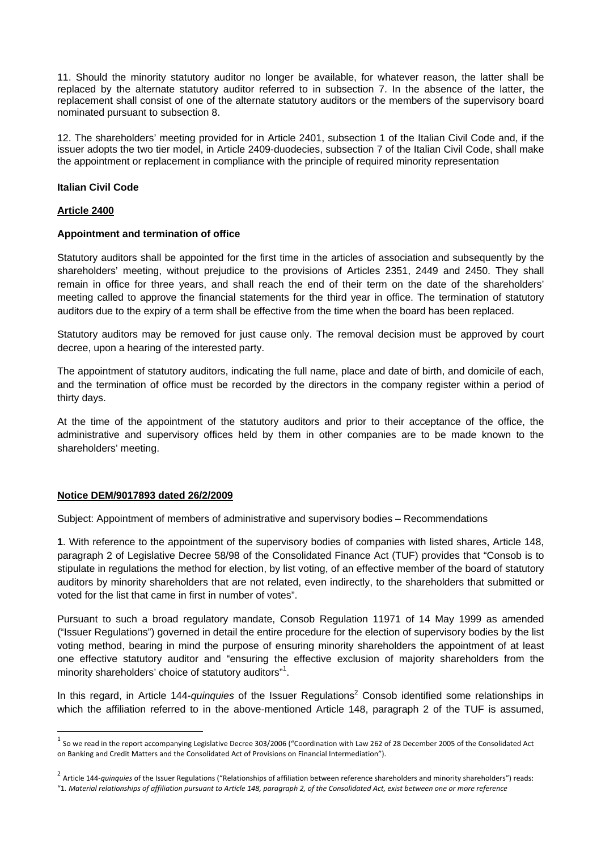11. Should the minority statutory auditor no longer be available, for whatever reason, the latter shall be replaced by the alternate statutory auditor referred to in subsection 7. In the absence of the latter, the replacement shall consist of one of the alternate statutory auditors or the members of the supervisory board nominated pursuant to subsection 8.

12. The shareholders' meeting provided for in Article 2401, subsection 1 of the Italian Civil Code and, if the issuer adopts the two tier model, in Article 2409-duodecies, subsection 7 of the Italian Civil Code, shall make the appointment or replacement in compliance with the principle of required minority representation

#### **Italian Civil Code**

#### **Article 2400**

#### **Appointment and termination of office**

Statutory auditors shall be appointed for the first time in the articles of association and subsequently by the shareholders' meeting, without prejudice to the provisions of Articles 2351, 2449 and 2450. They shall remain in office for three years, and shall reach the end of their term on the date of the shareholders' meeting called to approve the financial statements for the third year in office. The termination of statutory auditors due to the expiry of a term shall be effective from the time when the board has been replaced.

Statutory auditors may be removed for just cause only. The removal decision must be approved by court decree, upon a hearing of the interested party.

The appointment of statutory auditors, indicating the full name, place and date of birth, and domicile of each, and the termination of office must be recorded by the directors in the company register within a period of thirty days.

At the time of the appointment of the statutory auditors and prior to their acceptance of the office, the administrative and supervisory offices held by them in other companies are to be made known to the shareholders' meeting.

### **Notice DEM/9017893 dated 26/2/2009**

Subject: Appointment of members of administrative and supervisory bodies – Recommendations

**1**. With reference to the appointment of the supervisory bodies of companies with listed shares, Article 148, paragraph 2 of Legislative Decree 58/98 of the Consolidated Finance Act (TUF) provides that "Consob is to stipulate in regulations the method for election, by list voting, of an effective member of the board of statutory auditors by minority shareholders that are not related, even indirectly, to the shareholders that submitted or voted for the list that came in first in number of votes".

Pursuant to such a broad regulatory mandate, Consob Regulation 11971 of 14 May 1999 as amended ("Issuer Regulations") governed in detail the entire procedure for the election of supervisory bodies by the list voting method, bearing in mind the purpose of ensuring minority shareholders the appointment of at least one effective statutory auditor and "ensuring the effective exclusion of majority shareholders from the minority shareholders' choice of statutory auditors"<sup>1</sup>.

In this regard, in Article 144-*quinquies* of the Issuer Regulations<sup>2</sup> Consob identified some relationships in which the affiliation referred to in the above-mentioned Article 148, paragraph 2 of the TUF is assumed,

 $1$  So we read in the report accompanying Legislative Decree 303/2006 ("Coordination with Law 262 of 28 December 2005 of the Consolidated Act on Banking and Credit Matters and the Consolidated Act of Provisions on Financial Intermediation").

<sup>2</sup> Article <sup>144</sup>‐*quinquies* of the Issuer Regulations ("Relationships of affiliation between reference shareholders and minority shareholders") reads: "1. Material relationships of affiliation pursuant to Article 148, paragraph 2, of the Consolidated Act, exist between one or more reference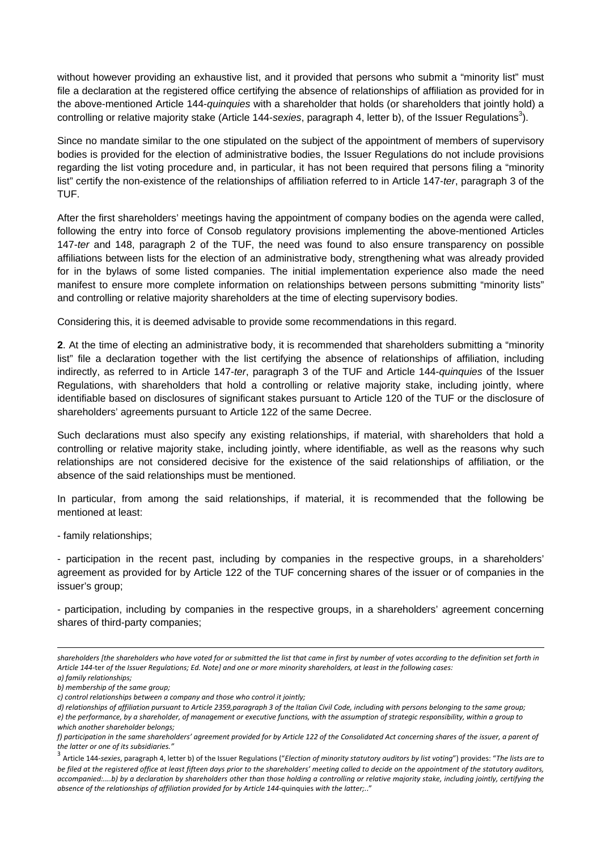without however providing an exhaustive list, and it provided that persons who submit a "minority list" must file a declaration at the registered office certifying the absence of relationships of affiliation as provided for in the above-mentioned Article 144-*quinquies* with a shareholder that holds (or shareholders that jointly hold) a controlling or relative majority stake (Article 144-*sexies*, paragraph 4, letter b), of the Issuer Regulations<sup>3</sup>).

Since no mandate similar to the one stipulated on the subject of the appointment of members of supervisory bodies is provided for the election of administrative bodies, the Issuer Regulations do not include provisions regarding the list voting procedure and, in particular, it has not been required that persons filing a "minority list" certify the non-existence of the relationships of affiliation referred to in Article 147-*ter*, paragraph 3 of the TUF.

After the first shareholders' meetings having the appointment of company bodies on the agenda were called, following the entry into force of Consob regulatory provisions implementing the above-mentioned Articles 147-*ter* and 148, paragraph 2 of the TUF, the need was found to also ensure transparency on possible affiliations between lists for the election of an administrative body, strengthening what was already provided for in the bylaws of some listed companies. The initial implementation experience also made the need manifest to ensure more complete information on relationships between persons submitting "minority lists" and controlling or relative majority shareholders at the time of electing supervisory bodies.

Considering this, it is deemed advisable to provide some recommendations in this regard.

**2**. At the time of electing an administrative body, it is recommended that shareholders submitting a "minority list" file a declaration together with the list certifying the absence of relationships of affiliation, including indirectly, as referred to in Article 147-*ter*, paragraph 3 of the TUF and Article 144-*quinquies* of the Issuer Regulations, with shareholders that hold a controlling or relative majority stake, including jointly, where identifiable based on disclosures of significant stakes pursuant to Article 120 of the TUF or the disclosure of shareholders' agreements pursuant to Article 122 of the same Decree.

Such declarations must also specify any existing relationships, if material, with shareholders that hold a controlling or relative majority stake, including jointly, where identifiable, as well as the reasons why such relationships are not considered decisive for the existence of the said relationships of affiliation, or the absence of the said relationships must be mentioned.

In particular, from among the said relationships, if material, it is recommended that the following be mentioned at least:

- family relationships;

- participation in the recent past, including by companies in the respective groups, in a shareholders' agreement as provided for by Article 122 of the TUF concerning shares of the issuer or of companies in the issuer's group;

- participation, including by companies in the respective groups, in a shareholders' agreement concerning shares of third-party companies;

<sup>&</sup>lt;u> 1989 - Johann Stoff, amerikansk politiker (d. 1989)</u> shareholders [the shareholders who have voted for or submitted the list that came in first by number of votes according to the definition set forth in Article 144-ter of the Issuer Regulations; Ed. Note] and one or more minority shareholders, at least in the following cases:

*a) family relationships;*

*b) membership of the same group; c) control relationships between a company and those who control it jointly;*

d) relationships of affiliation pursuant to Article 2359, paragraph 3 of the Italian Civil Code, including with persons belonging to the same aroup;

e) the performance, by a shareholder, of management or executive functions, with the assumption of strategic responsibility, within a group to *which another shareholder belongs;*

f) participation in the same shareholders' agreement provided for by Article 122 of the Consolidated Act concerning shares of the issuer, a parent of

the latter or one of its subsidiaries."<br><sup>3</sup> Article 144-sexies, paragraph 4, letter b) of the Issuer Regulations ("Election of minority statutory auditors by list voting") provides: "The lists are to be filed at the registered office at least fifteen days prior to the shareholders' meeting called to decide on the appointment of the statutory auditors, accompanied:....b) by a declaration by shareholders other than those holding a controlling or relative majority stake, including jointly, certifying the *absence of the relationships of affiliation provided for by Article 144‐*quinquies *with the latter;.*."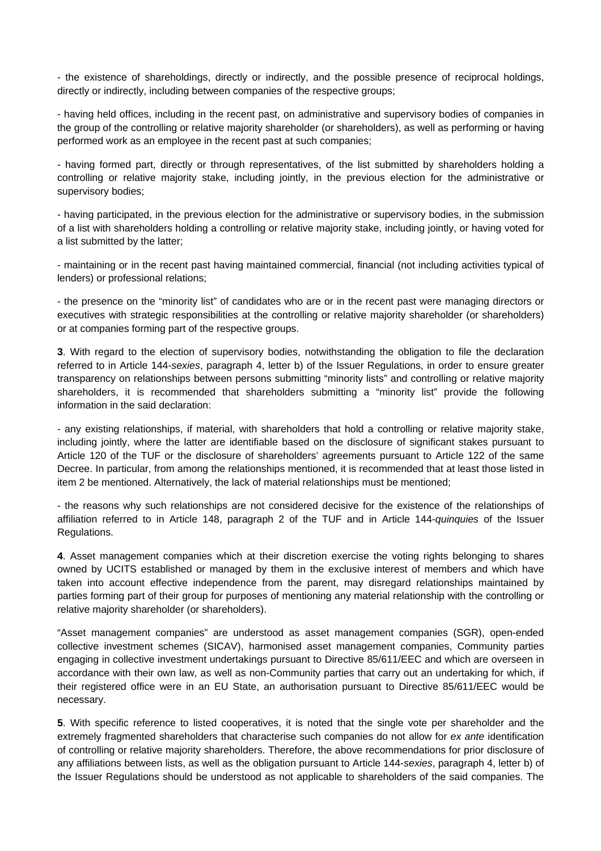- the existence of shareholdings, directly or indirectly, and the possible presence of reciprocal holdings, directly or indirectly, including between companies of the respective groups;

- having held offices, including in the recent past, on administrative and supervisory bodies of companies in the group of the controlling or relative majority shareholder (or shareholders), as well as performing or having performed work as an employee in the recent past at such companies;

- having formed part, directly or through representatives, of the list submitted by shareholders holding a controlling or relative majority stake, including jointly, in the previous election for the administrative or supervisory bodies;

- having participated, in the previous election for the administrative or supervisory bodies, in the submission of a list with shareholders holding a controlling or relative majority stake, including jointly, or having voted for a list submitted by the latter;

- maintaining or in the recent past having maintained commercial, financial (not including activities typical of lenders) or professional relations;

- the presence on the "minority list" of candidates who are or in the recent past were managing directors or executives with strategic responsibilities at the controlling or relative majority shareholder (or shareholders) or at companies forming part of the respective groups.

**3**. With regard to the election of supervisory bodies, notwithstanding the obligation to file the declaration referred to in Article 144-*sexies*, paragraph 4, letter b) of the Issuer Regulations, in order to ensure greater transparency on relationships between persons submitting "minority lists" and controlling or relative majority shareholders, it is recommended that shareholders submitting a "minority list" provide the following information in the said declaration:

- any existing relationships, if material, with shareholders that hold a controlling or relative majority stake, including jointly, where the latter are identifiable based on the disclosure of significant stakes pursuant to Article 120 of the TUF or the disclosure of shareholders' agreements pursuant to Article 122 of the same Decree. In particular, from among the relationships mentioned, it is recommended that at least those listed in item 2 be mentioned. Alternatively, the lack of material relationships must be mentioned;

- the reasons why such relationships are not considered decisive for the existence of the relationships of affiliation referred to in Article 148, paragraph 2 of the TUF and in Article 144-*quinquies* of the Issuer Regulations.

**4**. Asset management companies which at their discretion exercise the voting rights belonging to shares owned by UCITS established or managed by them in the exclusive interest of members and which have taken into account effective independence from the parent, may disregard relationships maintained by parties forming part of their group for purposes of mentioning any material relationship with the controlling or relative majority shareholder (or shareholders).

"Asset management companies" are understood as asset management companies (SGR), open-ended collective investment schemes (SICAV), harmonised asset management companies, Community parties engaging in collective investment undertakings pursuant to Directive 85/611/EEC and which are overseen in accordance with their own law, as well as non-Community parties that carry out an undertaking for which, if their registered office were in an EU State, an authorisation pursuant to Directive 85/611/EEC would be necessary.

**5**. With specific reference to listed cooperatives, it is noted that the single vote per shareholder and the extremely fragmented shareholders that characterise such companies do not allow for *ex ante* identification of controlling or relative majority shareholders. Therefore, the above recommendations for prior disclosure of any affiliations between lists, as well as the obligation pursuant to Article 144-*sexies*, paragraph 4, letter b) of the Issuer Regulations should be understood as not applicable to shareholders of the said companies. The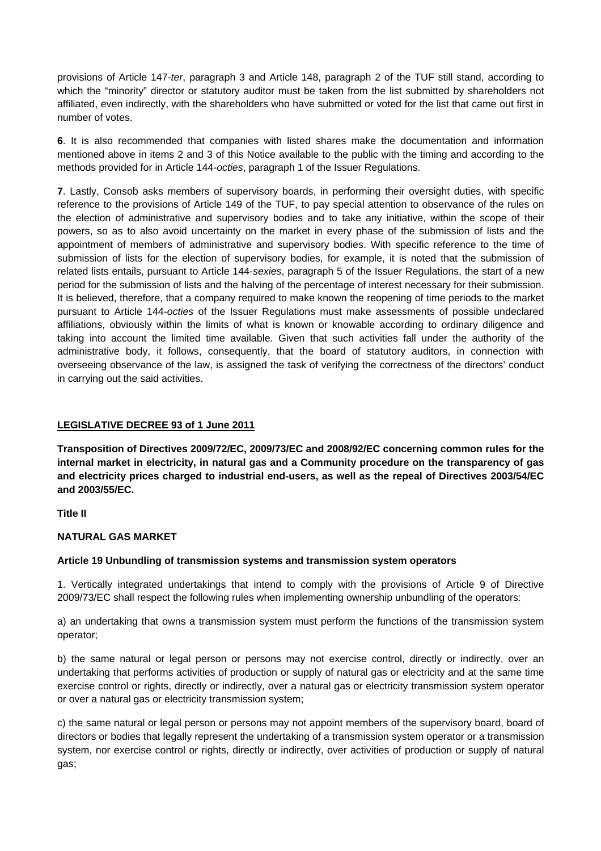provisions of Article 147-*ter*, paragraph 3 and Article 148, paragraph 2 of the TUF still stand, according to which the "minority" director or statutory auditor must be taken from the list submitted by shareholders not affiliated, even indirectly, with the shareholders who have submitted or voted for the list that came out first in number of votes.

**6**. It is also recommended that companies with listed shares make the documentation and information mentioned above in items 2 and 3 of this Notice available to the public with the timing and according to the methods provided for in Article 144-*octies*, paragraph 1 of the Issuer Regulations.

**7**. Lastly, Consob asks members of supervisory boards, in performing their oversight duties, with specific reference to the provisions of Article 149 of the TUF, to pay special attention to observance of the rules on the election of administrative and supervisory bodies and to take any initiative, within the scope of their powers, so as to also avoid uncertainty on the market in every phase of the submission of lists and the appointment of members of administrative and supervisory bodies. With specific reference to the time of submission of lists for the election of supervisory bodies, for example, it is noted that the submission of related lists entails, pursuant to Article 144-*sexies*, paragraph 5 of the Issuer Regulations, the start of a new period for the submission of lists and the halving of the percentage of interest necessary for their submission. It is believed, therefore, that a company required to make known the reopening of time periods to the market pursuant to Article 144-*octies* of the Issuer Regulations must make assessments of possible undeclared affiliations, obviously within the limits of what is known or knowable according to ordinary diligence and taking into account the limited time available. Given that such activities fall under the authority of the administrative body, it follows, consequently, that the board of statutory auditors, in connection with overseeing observance of the law, is assigned the task of verifying the correctness of the directors' conduct in carrying out the said activities.

### **LEGISLATIVE DECREE 93 of 1 June 2011**

**Transposition of Directives 2009/72/EC, 2009/73/EC and 2008/92/EC concerning common rules for the internal market in electricity, in natural gas and a Community procedure on the transparency of gas and electricity prices charged to industrial end-users, as well as the repeal of Directives 2003/54/EC and 2003/55/EC.** 

**Title II** 

## **NATURAL GAS MARKET**

### **Article 19 Unbundling of transmission systems and transmission system operators**

1. Vertically integrated undertakings that intend to comply with the provisions of Article 9 of Directive 2009/73/EC shall respect the following rules when implementing ownership unbundling of the operators:

a) an undertaking that owns a transmission system must perform the functions of the transmission system operator;

b) the same natural or legal person or persons may not exercise control, directly or indirectly, over an undertaking that performs activities of production or supply of natural gas or electricity and at the same time exercise control or rights, directly or indirectly, over a natural gas or electricity transmission system operator or over a natural gas or electricity transmission system;

c) the same natural or legal person or persons may not appoint members of the supervisory board, board of directors or bodies that legally represent the undertaking of a transmission system operator or a transmission system, nor exercise control or rights, directly or indirectly, over activities of production or supply of natural gas;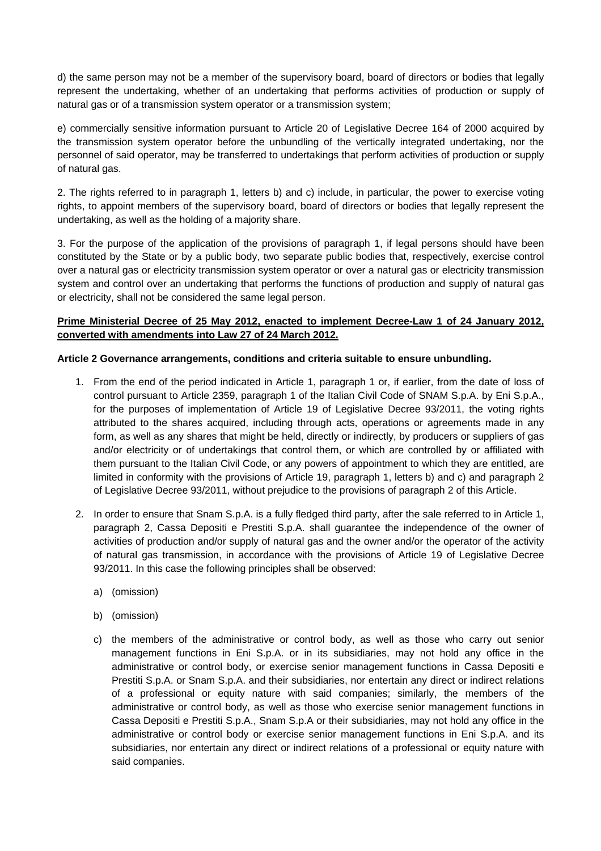d) the same person may not be a member of the supervisory board, board of directors or bodies that legally represent the undertaking, whether of an undertaking that performs activities of production or supply of natural gas or of a transmission system operator or a transmission system;

e) commercially sensitive information pursuant to Article 20 of Legislative Decree 164 of 2000 acquired by the transmission system operator before the unbundling of the vertically integrated undertaking, nor the personnel of said operator, may be transferred to undertakings that perform activities of production or supply of natural gas.

2. The rights referred to in paragraph 1, letters b) and c) include, in particular, the power to exercise voting rights, to appoint members of the supervisory board, board of directors or bodies that legally represent the undertaking, as well as the holding of a majority share.

3. For the purpose of the application of the provisions of paragraph 1, if legal persons should have been constituted by the State or by a public body, two separate public bodies that, respectively, exercise control over a natural gas or electricity transmission system operator or over a natural gas or electricity transmission system and control over an undertaking that performs the functions of production and supply of natural gas or electricity, shall not be considered the same legal person.

# **Prime Ministerial Decree of 25 May 2012, enacted to implement Decree-Law 1 of 24 January 2012, converted with amendments into Law 27 of 24 March 2012.**

### **Article 2 Governance arrangements, conditions and criteria suitable to ensure unbundling.**

- 1. From the end of the period indicated in Article 1, paragraph 1 or, if earlier, from the date of loss of control pursuant to Article 2359, paragraph 1 of the Italian Civil Code of SNAM S.p.A. by Eni S.p.A., for the purposes of implementation of Article 19 of Legislative Decree 93/2011, the voting rights attributed to the shares acquired, including through acts, operations or agreements made in any form, as well as any shares that might be held, directly or indirectly, by producers or suppliers of gas and/or electricity or of undertakings that control them, or which are controlled by or affiliated with them pursuant to the Italian Civil Code, or any powers of appointment to which they are entitled, are limited in conformity with the provisions of Article 19, paragraph 1, letters b) and c) and paragraph 2 of Legislative Decree 93/2011, without prejudice to the provisions of paragraph 2 of this Article.
- 2. In order to ensure that Snam S.p.A. is a fully fledged third party, after the sale referred to in Article 1, paragraph 2, Cassa Depositi e Prestiti S.p.A. shall guarantee the independence of the owner of activities of production and/or supply of natural gas and the owner and/or the operator of the activity of natural gas transmission, in accordance with the provisions of Article 19 of Legislative Decree 93/2011. In this case the following principles shall be observed:
	- a) (omission)
	- b) (omission)
	- c) the members of the administrative or control body, as well as those who carry out senior management functions in Eni S.p.A. or in its subsidiaries, may not hold any office in the administrative or control body, or exercise senior management functions in Cassa Depositi e Prestiti S.p.A. or Snam S.p.A. and their subsidiaries, nor entertain any direct or indirect relations of a professional or equity nature with said companies; similarly, the members of the administrative or control body, as well as those who exercise senior management functions in Cassa Depositi e Prestiti S.p.A., Snam S.p.A or their subsidiaries, may not hold any office in the administrative or control body or exercise senior management functions in Eni S.p.A. and its subsidiaries, nor entertain any direct or indirect relations of a professional or equity nature with said companies.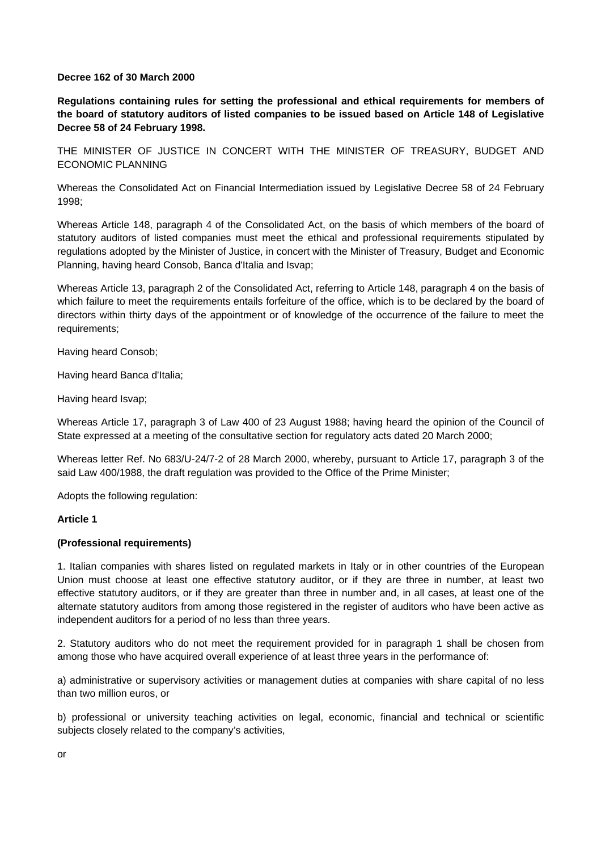#### **Decree 162 of 30 March 2000**

**Regulations containing rules for setting the professional and ethical requirements for members of the board of statutory auditors of listed companies to be issued based on Article 148 of Legislative Decree 58 of 24 February 1998.** 

THE MINISTER OF JUSTICE IN CONCERT WITH THE MINISTER OF TREASURY, BUDGET AND ECONOMIC PLANNING

Whereas the Consolidated Act on Financial Intermediation issued by Legislative Decree 58 of 24 February 1998;

Whereas Article 148, paragraph 4 of the Consolidated Act, on the basis of which members of the board of statutory auditors of listed companies must meet the ethical and professional requirements stipulated by regulations adopted by the Minister of Justice, in concert with the Minister of Treasury, Budget and Economic Planning, having heard Consob, Banca d'Italia and Isvap;

Whereas Article 13, paragraph 2 of the Consolidated Act, referring to Article 148, paragraph 4 on the basis of which failure to meet the requirements entails forfeiture of the office, which is to be declared by the board of directors within thirty days of the appointment or of knowledge of the occurrence of the failure to meet the requirements;

Having heard Consob;

Having heard Banca d'Italia;

Having heard Isvap;

Whereas Article 17, paragraph 3 of Law 400 of 23 August 1988; having heard the opinion of the Council of State expressed at a meeting of the consultative section for regulatory acts dated 20 March 2000;

Whereas letter Ref. No 683/U-24/7-2 of 28 March 2000, whereby, pursuant to Article 17, paragraph 3 of the said Law 400/1988, the draft regulation was provided to the Office of the Prime Minister;

Adopts the following regulation:

### **Article 1**

### **(Professional requirements)**

1. Italian companies with shares listed on regulated markets in Italy or in other countries of the European Union must choose at least one effective statutory auditor, or if they are three in number, at least two effective statutory auditors, or if they are greater than three in number and, in all cases, at least one of the alternate statutory auditors from among those registered in the register of auditors who have been active as independent auditors for a period of no less than three years.

2. Statutory auditors who do not meet the requirement provided for in paragraph 1 shall be chosen from among those who have acquired overall experience of at least three years in the performance of:

a) administrative or supervisory activities or management duties at companies with share capital of no less than two million euros, or

b) professional or university teaching activities on legal, economic, financial and technical or scientific subjects closely related to the company's activities,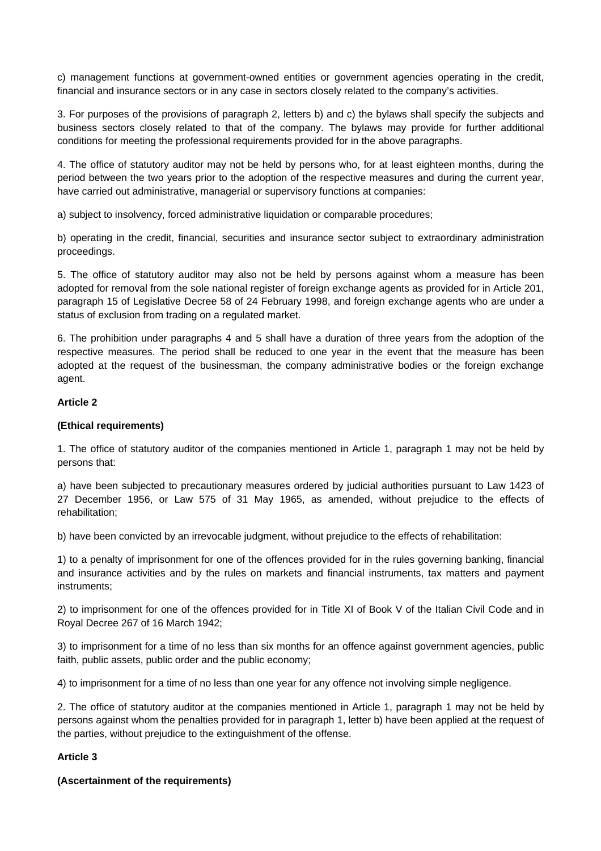c) management functions at government-owned entities or government agencies operating in the credit, financial and insurance sectors or in any case in sectors closely related to the company's activities.

3. For purposes of the provisions of paragraph 2, letters b) and c) the bylaws shall specify the subjects and business sectors closely related to that of the company. The bylaws may provide for further additional conditions for meeting the professional requirements provided for in the above paragraphs.

4. The office of statutory auditor may not be held by persons who, for at least eighteen months, during the period between the two years prior to the adoption of the respective measures and during the current year, have carried out administrative, managerial or supervisory functions at companies:

a) subject to insolvency, forced administrative liquidation or comparable procedures;

b) operating in the credit, financial, securities and insurance sector subject to extraordinary administration proceedings.

5. The office of statutory auditor may also not be held by persons against whom a measure has been adopted for removal from the sole national register of foreign exchange agents as provided for in Article 201, paragraph 15 of Legislative Decree 58 of 24 February 1998, and foreign exchange agents who are under a status of exclusion from trading on a regulated market.

6. The prohibition under paragraphs 4 and 5 shall have a duration of three years from the adoption of the respective measures. The period shall be reduced to one year in the event that the measure has been adopted at the request of the businessman, the company administrative bodies or the foreign exchange agent.

## **Article 2**

## **(Ethical requirements)**

1. The office of statutory auditor of the companies mentioned in Article 1, paragraph 1 may not be held by persons that:

a) have been subjected to precautionary measures ordered by judicial authorities pursuant to Law 1423 of 27 December 1956, or Law 575 of 31 May 1965, as amended, without prejudice to the effects of rehabilitation;

b) have been convicted by an irrevocable judgment, without prejudice to the effects of rehabilitation:

1) to a penalty of imprisonment for one of the offences provided for in the rules governing banking, financial and insurance activities and by the rules on markets and financial instruments, tax matters and payment instruments;

2) to imprisonment for one of the offences provided for in Title XI of Book V of the Italian Civil Code and in Royal Decree 267 of 16 March 1942;

3) to imprisonment for a time of no less than six months for an offence against government agencies, public faith, public assets, public order and the public economy;

4) to imprisonment for a time of no less than one year for any offence not involving simple negligence.

2. The office of statutory auditor at the companies mentioned in Article 1, paragraph 1 may not be held by persons against whom the penalties provided for in paragraph 1, letter b) have been applied at the request of the parties, without prejudice to the extinguishment of the offense.

## **Article 3**

### **(Ascertainment of the requirements)**